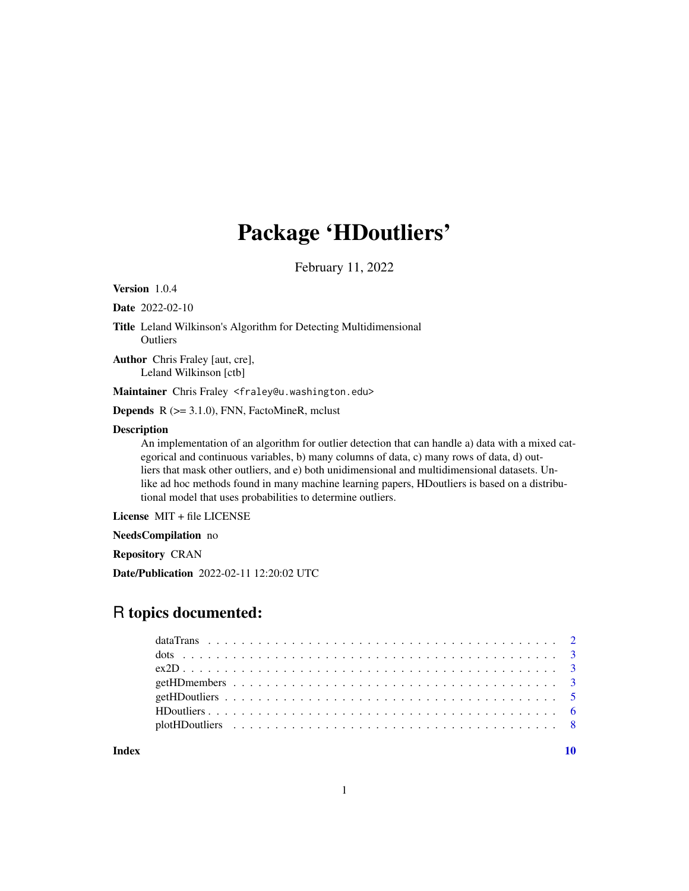# Package 'HDoutliers'

February 11, 2022

Version 1.0.4

Date 2022-02-10

Title Leland Wilkinson's Algorithm for Detecting Multidimensional **Outliers** 

Author Chris Fraley [aut, cre], Leland Wilkinson [ctb]

Maintainer Chris Fraley <fraley@u.washington.edu>

**Depends**  $R$  ( $>= 3.1.0$ ), FNN, FactoMineR, mclust

#### Description

An implementation of an algorithm for outlier detection that can handle a) data with a mixed categorical and continuous variables, b) many columns of data, c) many rows of data, d) outliers that mask other outliers, and e) both unidimensional and multidimensional datasets. Unlike ad hoc methods found in many machine learning papers, HDoutliers is based on a distributional model that uses probabilities to determine outliers.

License MIT + file LICENSE

NeedsCompilation no

Repository CRAN

Date/Publication 2022-02-11 12:20:02 UTC

# R topics documented:

 $\blacksquare$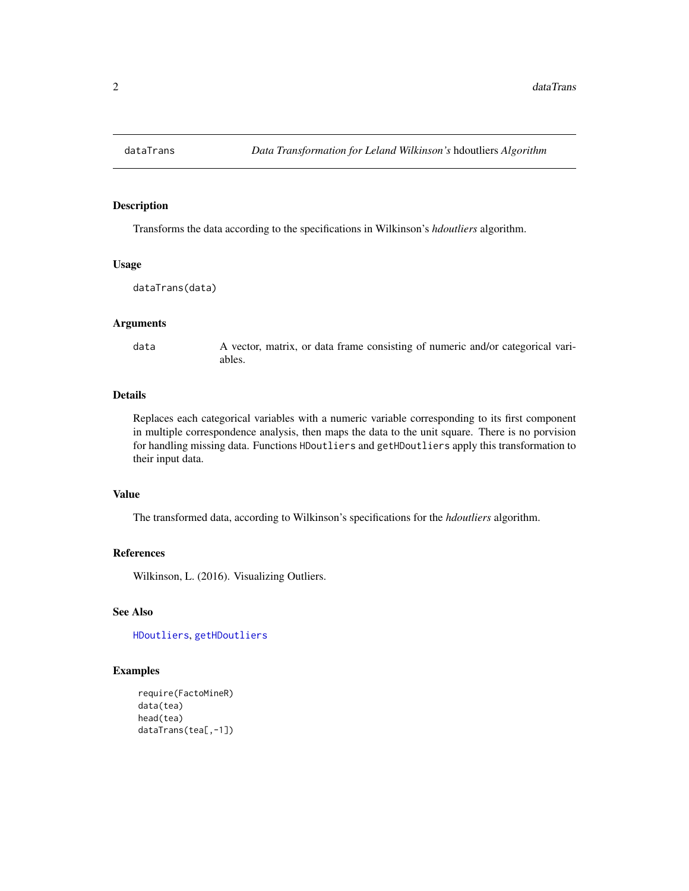<span id="page-1-1"></span><span id="page-1-0"></span>

#### Description

Transforms the data according to the specifications in Wilkinson's *hdoutliers* algorithm.

#### Usage

```
dataTrans(data)
```
#### Arguments

data A vector, matrix, or data frame consisting of numeric and/or categorical variables.

#### Details

Replaces each categorical variables with a numeric variable corresponding to its first component in multiple correspondence analysis, then maps the data to the unit square. There is no porvision for handling missing data. Functions HDoutliers and getHDoutliers apply this transformation to their input data.

# Value

The transformed data, according to Wilkinson's specifications for the *hdoutliers* algorithm.

#### References

Wilkinson, L. (2016). Visualizing Outliers.

#### See Also

[HDoutliers](#page-5-1), [getHDoutliers](#page-4-1)

#### Examples

```
require(FactoMineR)
data(tea)
head(tea)
dataTrans(tea[,-1])
```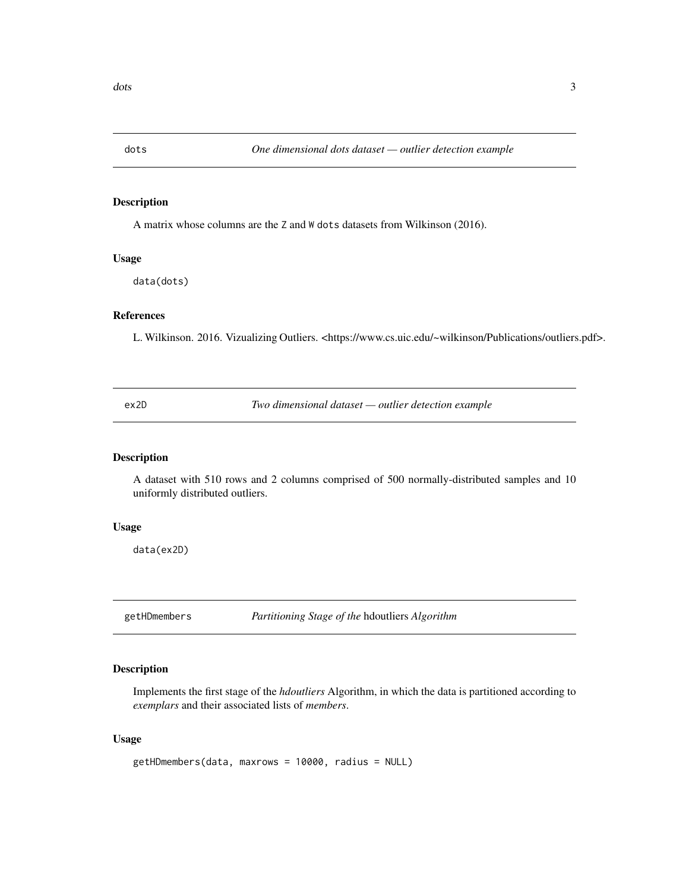<span id="page-2-0"></span>

#### Description

A matrix whose columns are the Z and W dots datasets from Wilkinson (2016).

# Usage

data(dots)

# References

L. Wilkinson. 2016. Vizualizing Outliers. <https://www.cs.uic.edu/~wilkinson/Publications/outliers.pdf>.

ex2D *Two dimensional dataset — outlier detection example*

# Description

A dataset with 510 rows and 2 columns comprised of 500 normally-distributed samples and 10 uniformly distributed outliers.

#### Usage

data(ex2D)

<span id="page-2-1"></span>getHDmembers *Partitioning Stage of the* hdoutliers *Algorithm*

# Description

Implements the first stage of the *hdoutliers* Algorithm, in which the data is partitioned according to *exemplars* and their associated lists of *members*.

#### Usage

```
getHDmembers(data, maxrows = 10000, radius = NULL)
```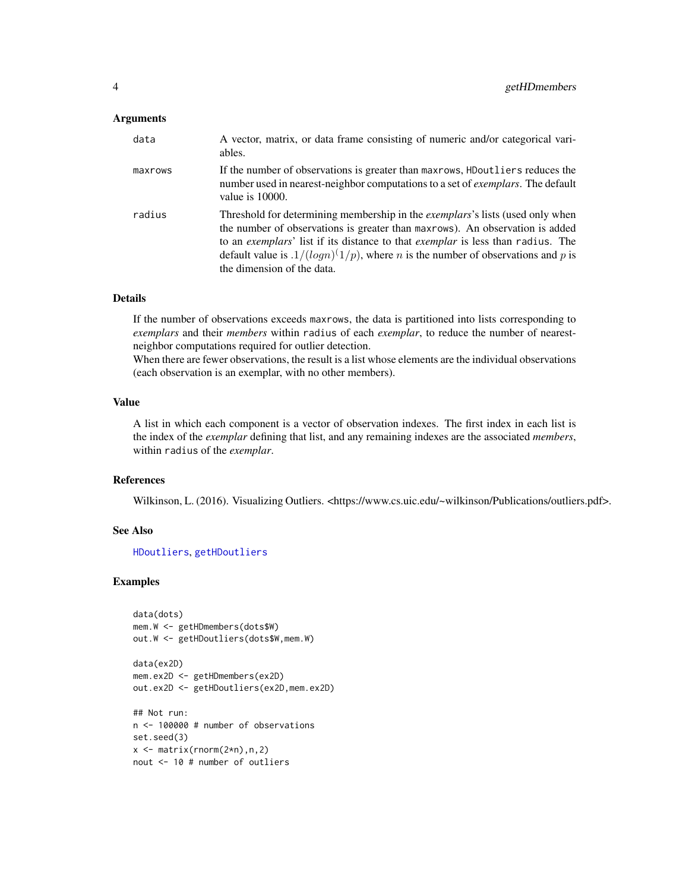#### <span id="page-3-0"></span>Arguments

| data    | A vector, matrix, or data frame consisting of numeric and/or categorical vari-<br>ables.                                                                                                                                                                                                                                                                                                    |
|---------|---------------------------------------------------------------------------------------------------------------------------------------------------------------------------------------------------------------------------------------------------------------------------------------------------------------------------------------------------------------------------------------------|
| maxrows | If the number of observations is greater than maxrows, HD outliers reduces the<br>number used in nearest-neighbor computations to a set of exemplars. The default<br>value is $10000$ .                                                                                                                                                                                                     |
| radius  | Threshold for determining membership in the <i>exemplars</i> 's lists (used only when<br>the number of observations is greater than maxrows). An observation is added<br>to an exemplars' list if its distance to that exemplar is less than radius. The<br>default value is $.1/(log n)(1/p)$ , where <i>n</i> is the number of observations and <i>p</i> is<br>the dimension of the data. |

#### Details

If the number of observations exceeds maxrows, the data is partitioned into lists corresponding to *exemplars* and their *members* within radius of each *exemplar*, to reduce the number of nearestneighbor computations required for outlier detection.

When there are fewer observations, the result is a list whose elements are the individual observations (each observation is an exemplar, with no other members).

#### Value

A list in which each component is a vector of observation indexes. The first index in each list is the index of the *exemplar* defining that list, and any remaining indexes are the associated *members*, within radius of the *exemplar*.

#### References

Wilkinson, L. (2016). Visualizing Outliers. <https://www.cs.uic.edu/~wilkinson/Publications/outliers.pdf>.

# See Also

[HDoutliers](#page-5-1), [getHDoutliers](#page-4-1)

#### Examples

```
data(dots)
mem.W <- getHDmembers(dots$W)
out.W <- getHDoutliers(dots$W,mem.W)
```
data(ex2D) mem.ex2D <- getHDmembers(ex2D) out.ex2D <- getHDoutliers(ex2D,mem.ex2D) ## Not run: n <- 100000 # number of observations

```
set.seed(3)
x \leftarrow \text{matrix}(rnorm(2*n), n, 2)nout <- 10 # number of outliers
```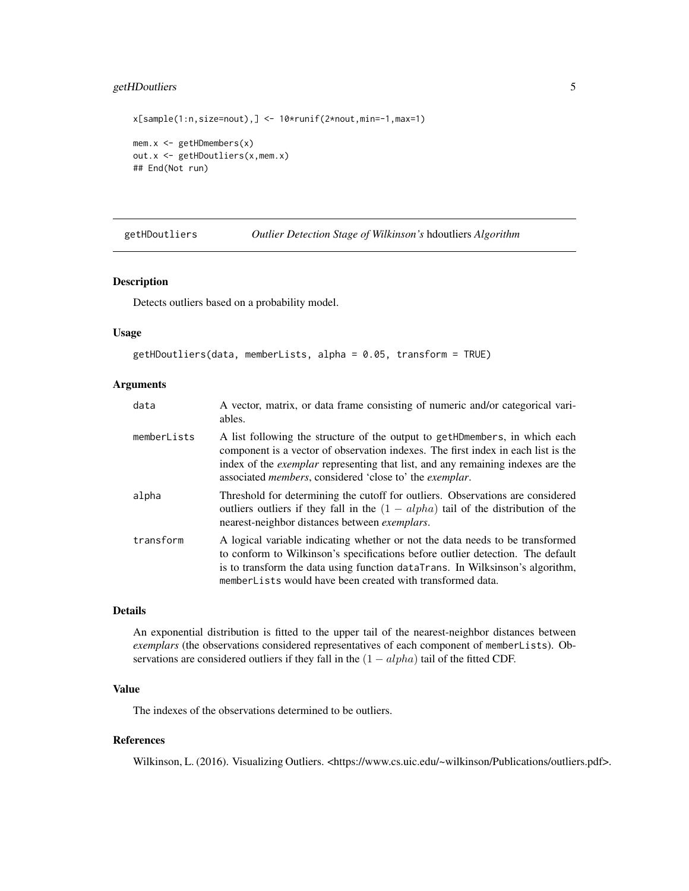# <span id="page-4-0"></span>getHDoutliers 5

```
x[sample(1:n,size=nout),] <- 10*runif(2*nout,min=-1,max=1)
mem.x <- getHDmembers(x)
out.x <- getHDoutliers(x,mem.x)
## End(Not run)
```
<span id="page-4-1"></span>getHDoutliers *Outlier Detection Stage of Wilkinson's* hdoutliers *Algorithm*

#### Description

Detects outliers based on a probability model.

#### Usage

```
getHDoutliers(data, memberLists, alpha = 0.05, transform = TRUE)
```
#### Arguments

| data        | A vector, matrix, or data frame consisting of numeric and/or categorical vari-<br>ables.                                                                                                                                                                                                                                               |
|-------------|----------------------------------------------------------------------------------------------------------------------------------------------------------------------------------------------------------------------------------------------------------------------------------------------------------------------------------------|
| memberLists | A list following the structure of the output to get HDmembers, in which each<br>component is a vector of observation indexes. The first index in each list is the<br>index of the <i>exemplar</i> representing that list, and any remaining indexes are the<br>associated <i>members</i> , considered 'close to' the <i>exemplar</i> . |
| alpha       | Threshold for determining the cutoff for outliers. Observations are considered<br>outliers outliers if they fall in the $(1 - alpha)$ tail of the distribution of the<br>nearest-neighbor distances between <i>exemplars</i> .                                                                                                         |
| transform   | A logical variable indicating whether or not the data needs to be transformed<br>to conform to Wilkinson's specifications before outlier detection. The default<br>is to transform the data using function dataTrans. In Wilksinson's algorithm,<br>memberLists would have been created with transformed data.                         |

#### Details

An exponential distribution is fitted to the upper tail of the nearest-neighbor distances between *exemplars* (the observations considered representatives of each component of memberLists). Observations are considered outliers if they fall in the  $(1 - alpha)$  tail of the fitted CDF.

#### Value

The indexes of the observations determined to be outliers.

### References

Wilkinson, L. (2016). Visualizing Outliers. <https://www.cs.uic.edu/~wilkinson/Publications/outliers.pdf>.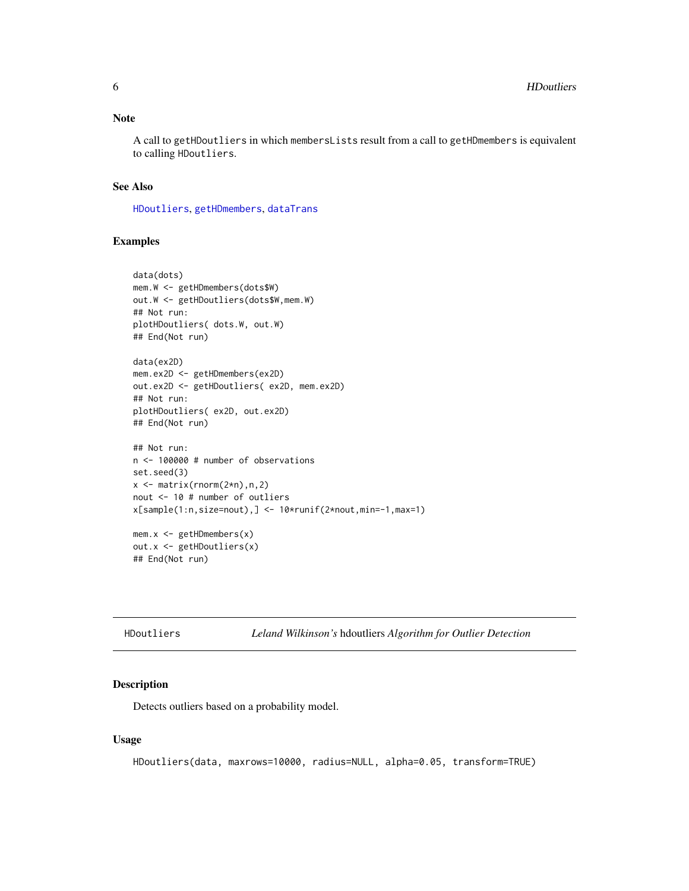#### <span id="page-5-0"></span>Note

A call to getHDoutliers in which membersLists result from a call to getHDmembers is equivalent to calling HDoutliers.

#### See Also

[HDoutliers](#page-5-1), [getHDmembers](#page-2-1), [dataTrans](#page-1-1)

# Examples

```
data(dots)
mem.W <- getHDmembers(dots$W)
out.W <- getHDoutliers(dots$W,mem.W)
## Not run:
plotHDoutliers( dots.W, out.W)
## End(Not run)
data(ex2D)
mem.ex2D <- getHDmembers(ex2D)
out.ex2D <- getHDoutliers( ex2D, mem.ex2D)
## Not run:
plotHDoutliers( ex2D, out.ex2D)
## End(Not run)
## Not run:
n <- 100000 # number of observations
set.seed(3)
x \le - matrix(rnorm(2*n),n,2)
nout <- 10 # number of outliers
x[sample(1:n,size=nout),] <- 10*runif(2*nout,min=-1,max=1)
mem.x \leq - getHDmembers(x)
out.x <- getHDoutliers(x)
## End(Not run)
```

```
HDoutliers Leland Wilkinson's hdoutliers Algorithm for Outlier Detection
```
### Description

Detects outliers based on a probability model.

#### Usage

```
HDoutliers(data, maxrows=10000, radius=NULL, alpha=0.05, transform=TRUE)
```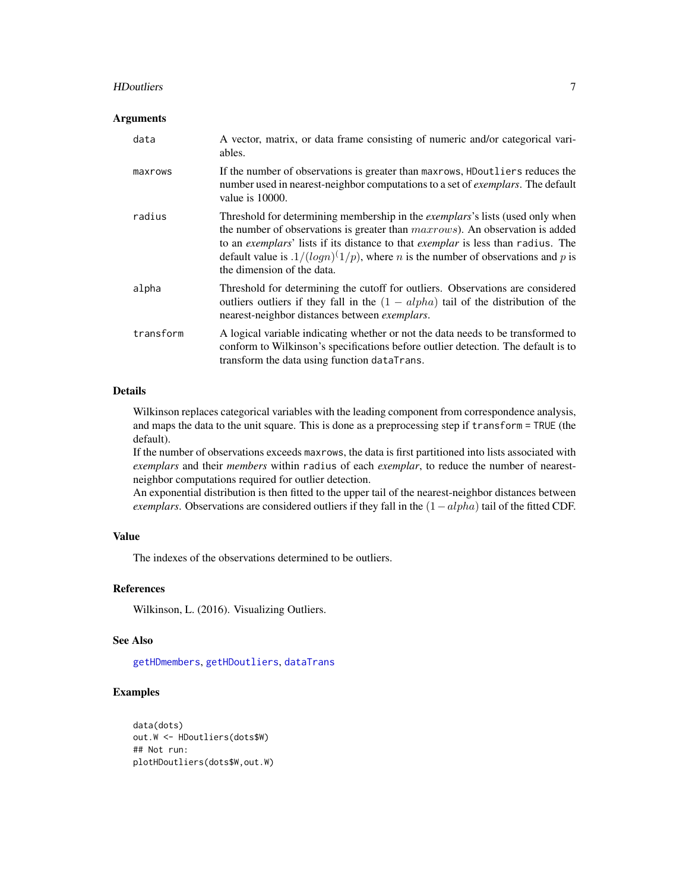#### <span id="page-6-0"></span>HDoutliers 7

#### Arguments

| data      | A vector, matrix, or data frame consisting of numeric and/or categorical vari-<br>ables.                                                                                                                                                                                                                                                                                                                |
|-----------|---------------------------------------------------------------------------------------------------------------------------------------------------------------------------------------------------------------------------------------------------------------------------------------------------------------------------------------------------------------------------------------------------------|
| maxrows   | If the number of observations is greater than maxrows, HDoutliers reduces the<br>number used in nearest-neighbor computations to a set of <i>exemplars</i> . The default<br>value is $10000$ .                                                                                                                                                                                                          |
| radius    | Threshold for determining membership in the exemplars's lists (used only when<br>the number of observations is greater than <i>maxrows</i> ). An observation is added<br>to an exemplars' lists if its distance to that exemplar is less than radius. The<br>default value is $\frac{1}{(\log n)^{(1/p)}}$ , where <i>n</i> is the number of observations and <i>p</i> is<br>the dimension of the data. |
| alpha     | Threshold for determining the cutoff for outliers. Observations are considered<br>outliers outliers if they fall in the $(1 - alpha)$ tail of the distribution of the<br>nearest-neighbor distances between <i>exemplars</i> .                                                                                                                                                                          |
| transform | A logical variable indicating whether or not the data needs to be transformed to<br>conform to Wilkinson's specifications before outlier detection. The default is to<br>transform the data using function dataTrans.                                                                                                                                                                                   |

# Details

Wilkinson replaces categorical variables with the leading component from correspondence analysis, and maps the data to the unit square. This is done as a preprocessing step if transform = TRUE (the default).

If the number of observations exceeds maxrows, the data is first partitioned into lists associated with *exemplars* and their *members* within radius of each *exemplar*, to reduce the number of nearestneighbor computations required for outlier detection.

An exponential distribution is then fitted to the upper tail of the nearest-neighbor distances between *exemplars*. Observations are considered outliers if they fall in the  $(1 - alpha)$  tail of the fitted CDF.

# Value

The indexes of the observations determined to be outliers.

#### References

Wilkinson, L. (2016). Visualizing Outliers.

#### See Also

[getHDmembers](#page-2-1), [getHDoutliers](#page-4-1), [dataTrans](#page-1-1)

# Examples

```
data(dots)
out.W <- HDoutliers(dots$W)
## Not run:
plotHDoutliers(dots$W,out.W)
```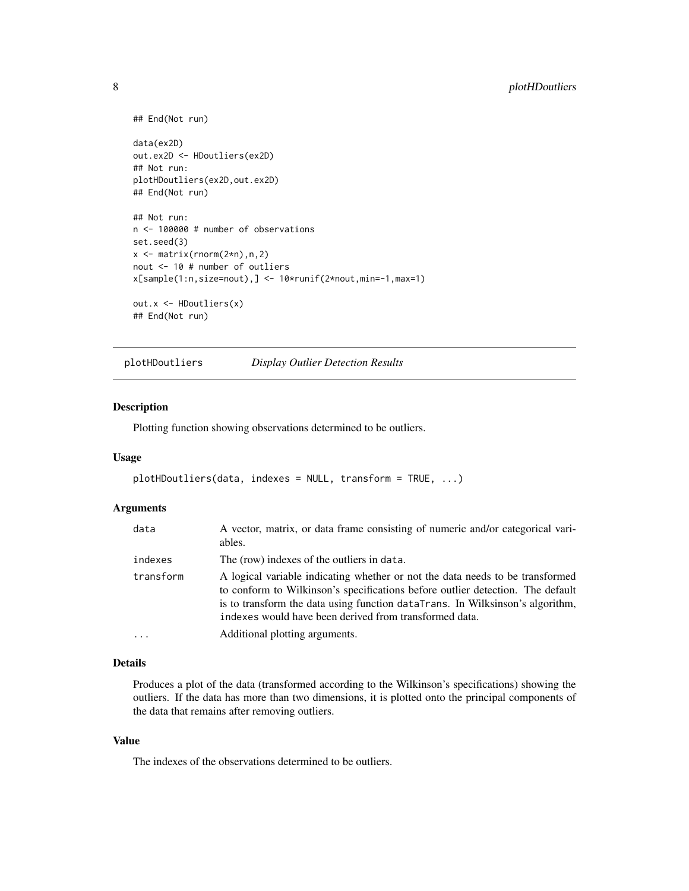```
## End(Not run)
data(ex2D)
out.ex2D <- HDoutliers(ex2D)
## Not run:
plotHDoutliers(ex2D,out.ex2D)
## End(Not run)
## Not run:
n <- 100000 # number of observations
set.seed(3)
x \leftarrow \text{matrix}(rnorm(2*n), n, 2)nout <- 10 # number of outliers
x[sample(1:n,size=nout),] <- 10*runif(2*nout,min=-1,max=1)
out.x <- HDoutliers(x)
## End(Not run)
```
plotHDoutliers *Display Outlier Detection Results*

# Description

Plotting function showing observations determined to be outliers.

#### Usage

```
plotHDoutliers(data, indexes = NULL, transform = TRUE, ...)
```
#### Arguments

| data      | A vector, matrix, or data frame consisting of numeric and/or categorical vari-<br>ables.                                                                                                                                                                                                                   |
|-----------|------------------------------------------------------------------------------------------------------------------------------------------------------------------------------------------------------------------------------------------------------------------------------------------------------------|
| indexes   | The (row) indexes of the outliers in data.                                                                                                                                                                                                                                                                 |
| transform | A logical variable indicating whether or not the data needs to be transformed<br>to conform to Wilkinson's specifications before outlier detection. The default<br>is to transform the data using function dataTrans. In Wilksinson's algorithm,<br>indexes would have been derived from transformed data. |
|           | Additional plotting arguments.                                                                                                                                                                                                                                                                             |

#### Details

Produces a plot of the data (transformed according to the Wilkinson's specifications) showing the outliers. If the data has more than two dimensions, it is plotted onto the principal components of the data that remains after removing outliers.

#### Value

The indexes of the observations determined to be outliers.

<span id="page-7-0"></span>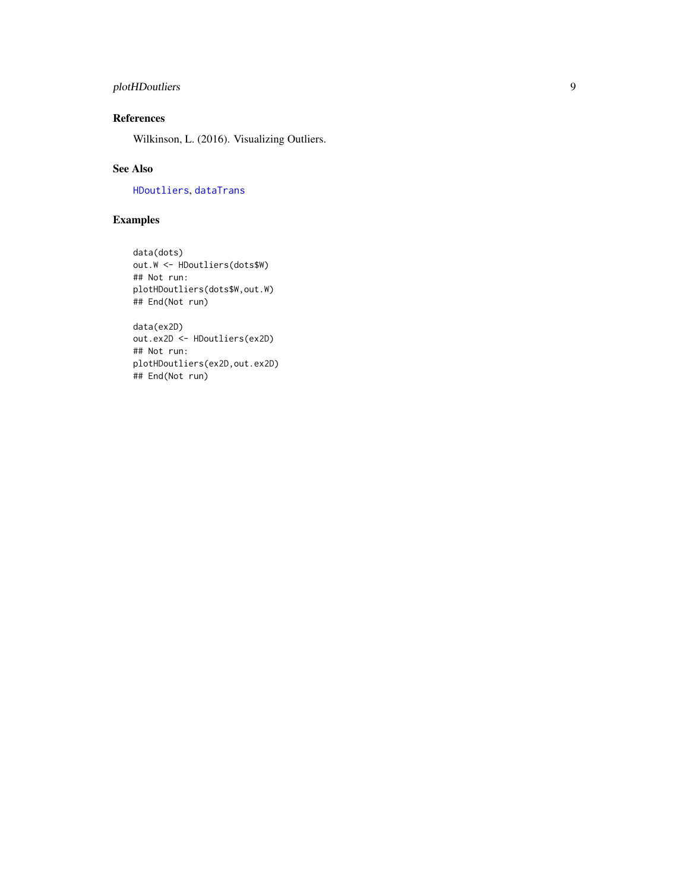# <span id="page-8-0"></span>plotHDoutliers 9

# References

Wilkinson, L. (2016). Visualizing Outliers.

# See Also

[HDoutliers](#page-5-1), [dataTrans](#page-1-1)

# Examples

```
data(dots)
out.W <- HDoutliers(dots$W)
## Not run:
plotHDoutliers(dots$W,out.W)
## End(Not run)
```

```
data(ex2D)
out.ex2D <- HDoutliers(ex2D)
## Not run:
plotHDoutliers(ex2D,out.ex2D)
## End(Not run)
```